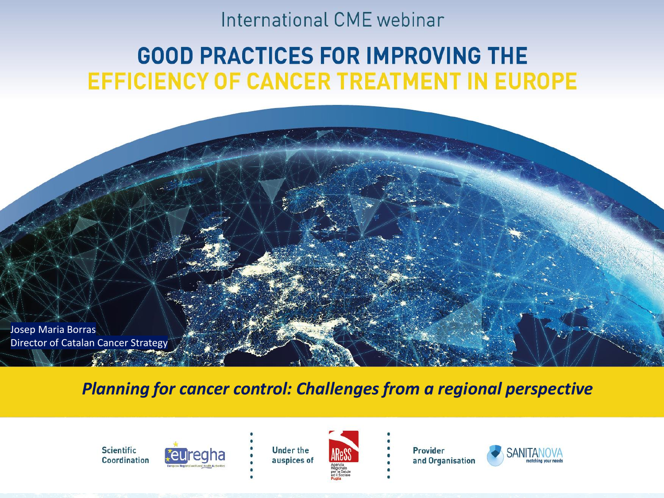#### International CME webinar

#### **GOOD PRACTICES FOR IMPROVING THE** EFFICIENCY OF CANCER TREATMENT IN EUROPE

Josep Maria Borras Director of Catalan Cancer Strategy

*Planning for cancer control: Challenges from a regional perspective*





**Under the** auspices of



Provider and Organisation

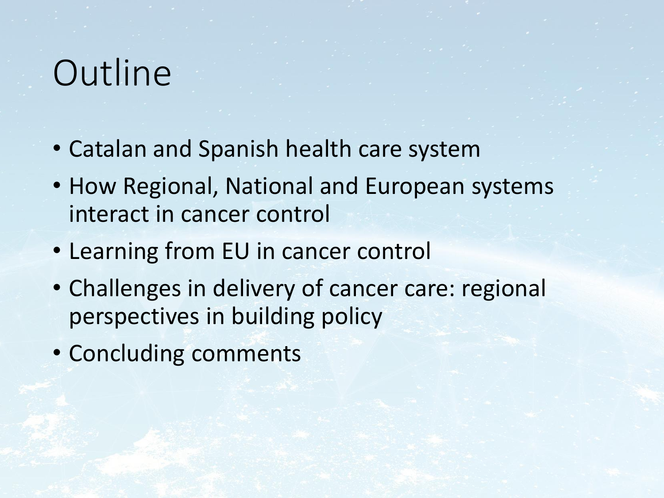# **Outline**

- Catalan and Spanish health care system
- How Regional, National and European systems interact in cancer control
- Learning from EU in cancer control
- Challenges in delivery of cancer care: regional perspectives in building policy
- Concluding comments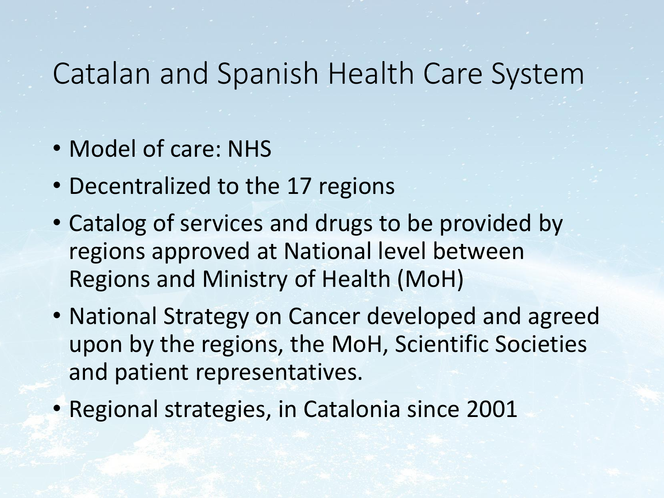## Catalan and Spanish Health Care System

- Model of care: NHS
- Decentralized to the 17 regions
- Catalog of services and drugs to be provided by regions approved at National level between Regions and Ministry of Health (MoH)
- National Strategy on Cancer developed and agreed upon by the regions, the MoH, Scientific Societies and patient representatives.
- Regional strategies, in Catalonia since 2001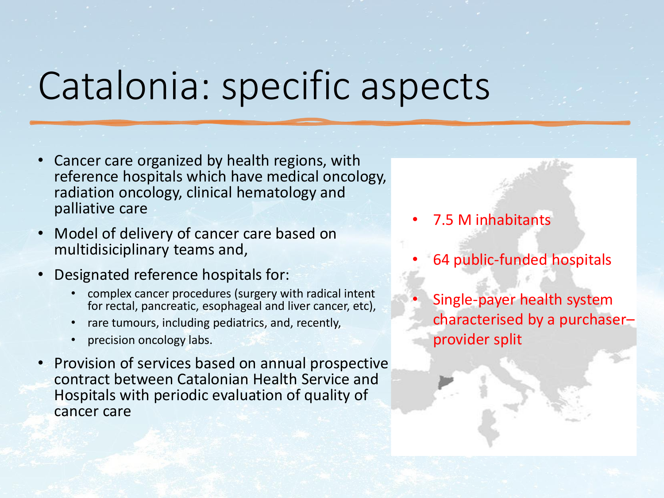# Catalonia: specific aspects

- Cancer care organized by health regions, with reference hospitals which have medical oncology, radiation oncology, clinical hematology and palliative care
- Model of delivery of cancer care based on multidisiciplinary teams and,
- Designated reference hospitals for:
	- complex cancer procedures (surgery with radical intent for rectal, pancreatic, esophageal and liver cancer, etc),
	- rare tumours, including pediatrics, and, recently,
	- precision oncology labs.
- Provision of services based on annual prospective contract between Catalonian Health Service and Hospitals with periodic evaluation of quality of cancer care
- 7.5 M inhabitants
- 64 public-funded hospitals
	- Single-payer health system characterised by a purchaser– provider split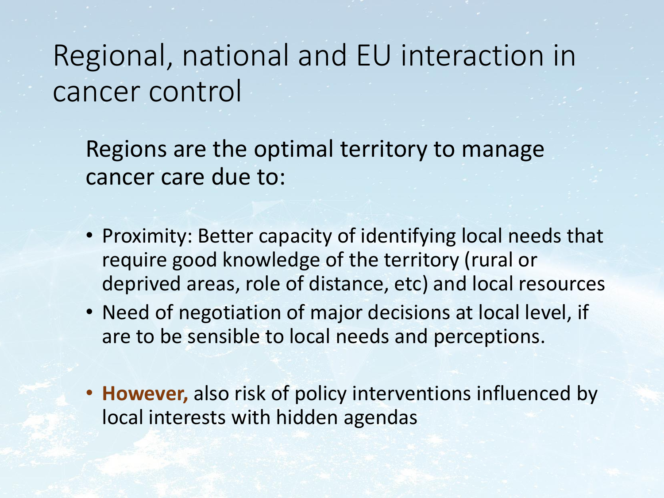## Regional, national and EU interaction in cancer control

Regions are the optimal territory to manage cancer care due to:

- Proximity: Better capacity of identifying local needs that require good knowledge of the territory (rural or deprived areas, role of distance, etc) and local resources
- Need of negotiation of major decisions at local level, if are to be sensible to local needs and perceptions.
- **However,** also risk of policy interventions influenced by local interests with hidden agendas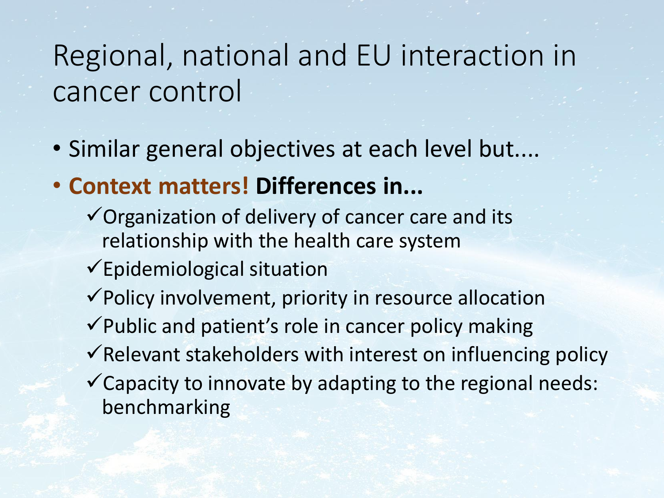## Regional, national and EU interaction in cancer control

- Similar general objectives at each level but....
- **Context matters! Differences in...** 
	- $\checkmark$  Organization of delivery of cancer care and its relationship with the health care system
	- ✓Epidemiological situation
	- ✓Policy involvement, priority in resource allocation
	- ✓Public and patient's role in cancer policy making
	- $\checkmark$  Relevant stakeholders with interest on influencing policy
	- ✓Capacity to innovate by adapting to the regional needs: benchmarking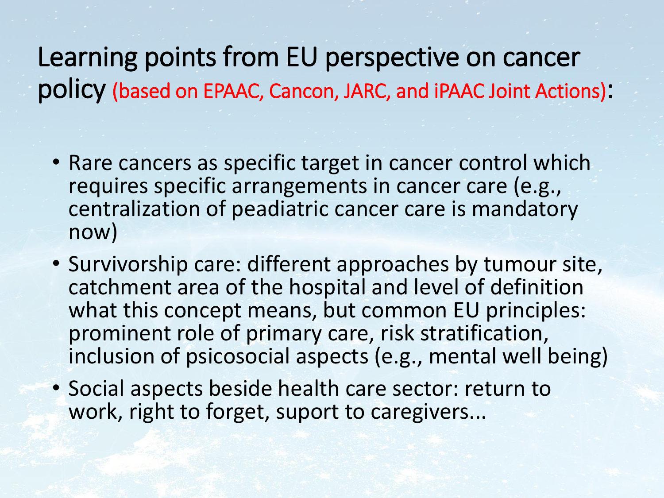Learning points from EU perspective on cancer policy (based on EPAAC, Cancon, JARC, and iPAAC Joint Actions):

- Rare cancers as specific target in cancer control which requires specific arrangements in cancer care (e.g., centralization of peadiatric cancer care is mandatory now)
- Survivorship care: different approaches by tumour site, catchment area of the hospital and level of definition what this concept means, but common EU principles: prominent role of primary care, risk stratification, inclusion of psicosocial aspects (e.g., mental well being)
- Social aspects beside health care sector: return to work, right to forget, suport to caregivers...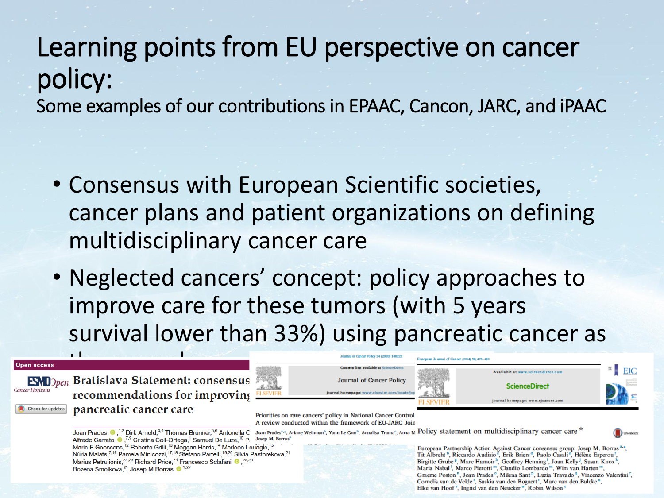### Learning points from EU perspective on cancer policy: Some examples of our contributions in EPAAC, Cancon, JARC, and iPAAC

- Consensus with European Scientific societies, cancer plans and patient organizations on defining multidisciplinary cancer care
- Neglected cancers' concept: policy approaches to improve care for these tumors (with 5 years survival lower than 33%) using pancreatic cancer as

#### **Open access**

Cancer Horizons

the example. The example of the example of the example.<br>The example of the example of the example of the example of the example of the example of the example of the e FIBRICAL COMMENTIFICATION CONTROVIDE TO THE SEVIER SCIENCE CANCER CANCER CANCER PRINCIPALITY OF COMMENT CONTROVIDE TO THE SEVIER SUBSIDE COMMENT CONTROVIDE TO THE SEVIER SUBSIDE CONTROVIDE TO THE COMMENT CONTROVIDE TO THE

Narius Petrulionis,<sup>22,23</sup> Richard Price,<sup>24</sup> Francesco Sclafani <sup>(b.</sup>,<sup>25,26</sup>)<br>Bozena Smolkova,<sup>21</sup> Josep M Borras (b.<sup>1,27</sup>)

Alfredo Carrato (,7,9 Cristina Coll-Ortega,<sup>1</sup> Samuel De Luze,<sup>10</sup> P Josep M. Borras<sup>®</sup> Varia E Goossens, <sup>12</sup> Roberto Grilli, <sup>13</sup> Meggan Harris, <sup>14</sup> Marleen Louagie, <sup>19</sup><br>Núria Malats,<sup>7,16</sup> Pamela Minicozzi, <sup>17,18</sup> Stefano Partelli, <sup>19,20</sup> Silvia Pastorekova,<sup>21</sup>

A review conducted within the framework of EU-JARC Joir

Contents lists available at ScienceDirect

**Journal of Cancer Policy** 

Joan Prades .<sup>1,2</sup> Dirk Arnold,<sup>3,4</sup> Thomas Brunner,<sup>5,6</sup> Antonella C Joan Prades<sup>4,+</sup>, Aniane Weinman<sup>3</sup>, Yann Le Cam<sup>3</sup>, Amalisa Trama<sup>4</sup>, Ama M Policy statement on multidisciplinary cancer care <sup>27</sup>

European Journal of Cancer (2014) 50, 475-480

European Partnership Action Against Cancer consensus group: Josep M. Borras<sup>a,\*</sup>, Tit Albreht<sup>b</sup>, Riccardo Audisio<sup>c</sup>, Erik Briers<sup>d</sup>, Paolo Casali<sup>e</sup>, Hélène Esperou<sup>f</sup> Birgitte Grube<sup>8</sup>, Marc Hamoir<sup>h</sup>, Geoffrey Henning<sup>1</sup>, Joan Kelly<sup>1</sup>, Susan Knox<sup>k</sup>, Maria Nabal<sup>1</sup>, Marco Pierotti<sup>m</sup>, Claudio Lombardo<sup>m</sup>, Wim van Harten<sup>m</sup>, Graeme Poston<sup>n</sup>, Joan Prades<sup>o</sup>, Milena Sant<sup>p</sup>, Luzia Travado<sup>q</sup>, Vincenzo Valentini<sup>r</sup>, Cornelis van de Velde<sup>5</sup>, Saskia van den Bogaert<sup>t</sup>, Marc van den Bulcke<sup>u</sup>, Elke van Hoof<sup>y</sup>, Ingrid van den Neucker<sup>w</sup>, Robin Wilson<sup>3</sup>

Available at www.sciencedirect.com



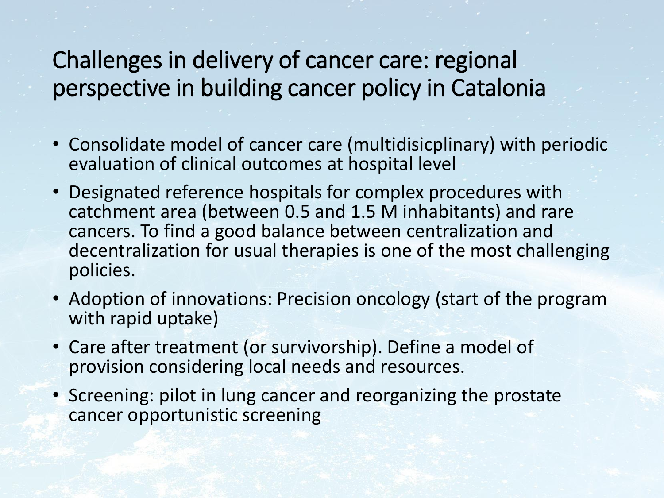#### Challenges in delivery of cancer care: regional perspective in building cancer policy in Catalonia

- Consolidate model of cancer care (multidisicplinary) with periodic evaluation of clinical outcomes at hospital level
- Designated reference hospitals for complex procedures with catchment area (between 0.5 and 1.5 M inhabitants) and rare cancers. To find a good balance between centralization and decentralization for usual therapies is one of the most challenging policies.
- Adoption of innovations: Precision oncology (start of the program with rapid uptake)
- Care after treatment (or survivorship). Define a model of provision considering local needs and resources.
- Screening: pilot in lung cancer and reorganizing the prostate cancer opportunistic screening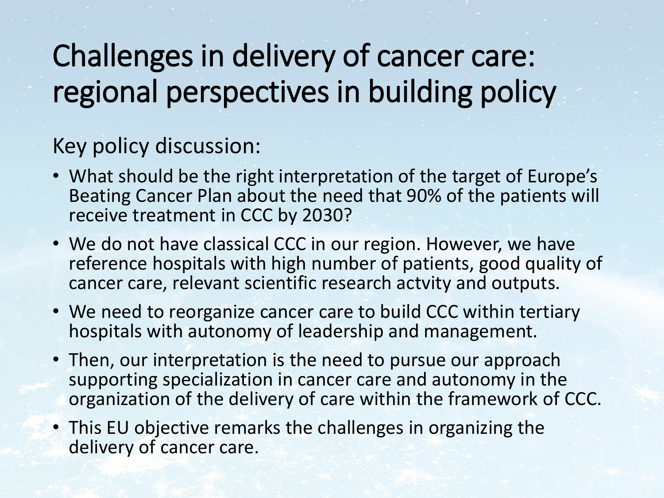# Challenges in delivery of cancer care: regional perspectives in building policy

#### Key policy discussion:

- What should be the right interpretation of the target of Europe's Beating Cancer Plan about the need that 90% of the patients will receive treatment in CCC by 2030?
- We do not have classical CCC in our region. However, we have reference hospitals with high number of patients, good quality of cancer care, relevant scientific research actvity and outputs.
- We need to reorganize cancer care to build CCC within tertiary hospitals with autonomy of leadership and management.
- Then, our interpretation is the need to pursue our approach supporting specialization in cancer care and autonomy in the organization of the delivery of care within the framework of CCC.
- This EU objective remarks the challenges in organizing the delivery of cancer care.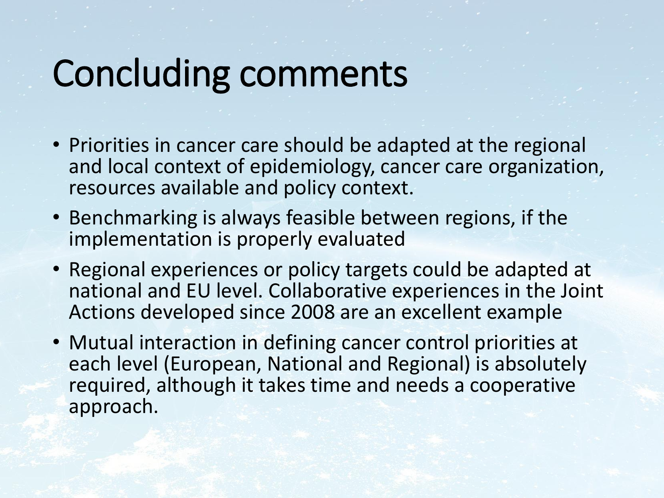# Concluding comments

- Priorities in cancer care should be adapted at the regional and local context of epidemiology, cancer care organization, resources available and policy context.
- Benchmarking is always feasible between regions, if the implementation is properly evaluated
- Regional experiences or policy targets could be adapted at national and EU level. Collaborative experiences in the Joint Actions developed since 2008 are an excellent example
- Mutual interaction in defining cancer control priorities at each level (European, National and Regional) is absolutely required, although it takes time and needs a cooperative approach.